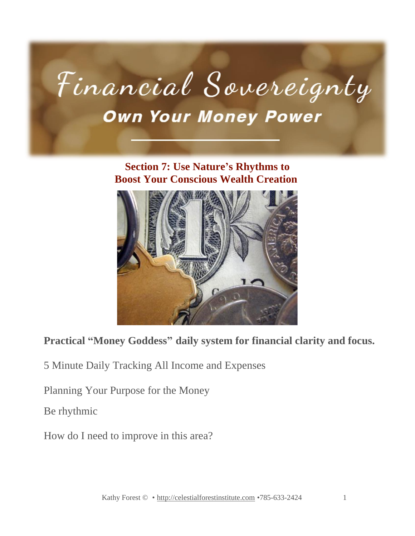

#### **Section 7: Use Nature's Rhythms to Boost Your Conscious Wealth Creation**



## **Practical "Money Goddess" daily system for financial clarity and focus.**

5 Minute Daily Tracking All Income and Expenses

Planning Your Purpose for the Money

Be rhythmic

How do I need to improve in this area?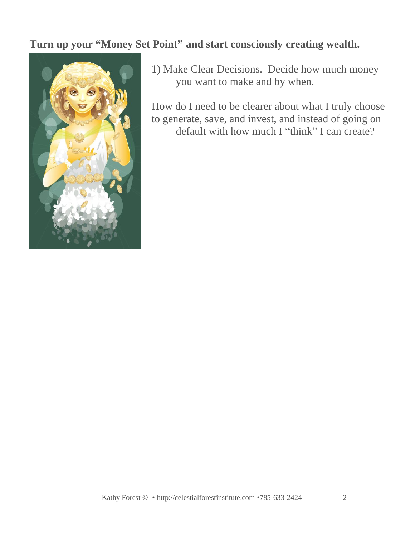### **Turn up your "Money Set Point" and start consciously creating wealth.**



1) Make Clear Decisions. Decide how much money you want to make and by when.

How do I need to be clearer about what I truly choose to generate, save, and invest, and instead of going on default with how much I "think" I can create?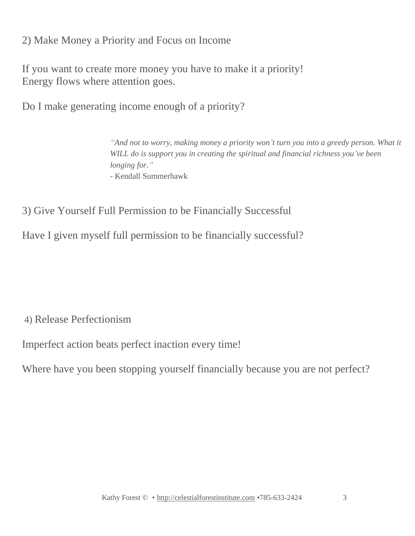2) Make Money a Priority and Focus on Income

If you want to create more money you have to make it a priority! Energy flows where attention goes.

Do I make generating income enough of a priority?

*"And not to worry, making money a priority won't turn you into a greedy person. What it WILL do is support you in creating the spiritual and financial richness you've been longing for." -* Kendall Summerhawk

3) Give Yourself Full Permission to be Financially Successful

Have I given myself full permission to be financially successful?

4) Release Perfectionism

Imperfect action beats perfect inaction every time!

Where have you been stopping yourself financially because you are not perfect?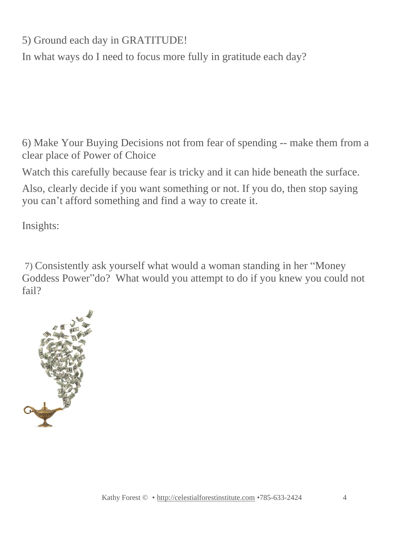5) Ground each day in GRATITUDE!

In what ways do I need to focus more fully in gratitude each day?

6) Make Your Buying Decisions not from fear of spending -- make them from a clear place of Power of Choice

Watch this carefully because fear is tricky and it can hide beneath the surface.

 you can't afford something and find a way to create it. Also, clearly decide if you want something or not. If you do, then stop saying

 $I$ nsights:  $\overline{I}$ Insights:

7) Consistently ask yourself what would a woman standing in her "Money Goddess Power"do? What would you attempt to do if you knew you could not fail?

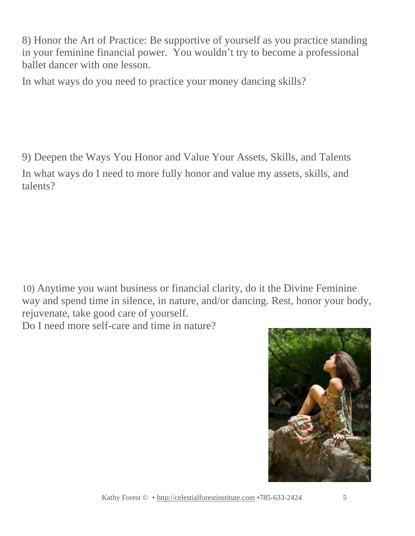8) Honor the Art of Practice: Be supportive of yourself as you practice standing in your feminine financial power. You wouldn't try to become a professional ballet dancer with one lesson.

In what ways do you need to practice your money dancing skills?

 9) Deepen the Ways You Honor and Value Your Assets, Skills, and Talents In what ways do I need to more fully honor and value my assets, skills, and talents?

10) Anytime you want business or financial clarity, do it the Divine Feminine way and spend time in silence, in nature, and/or dancing. Rest, honor your body, rejuvenate, take good care of yourself.

Do I need more self-care and time in nature?

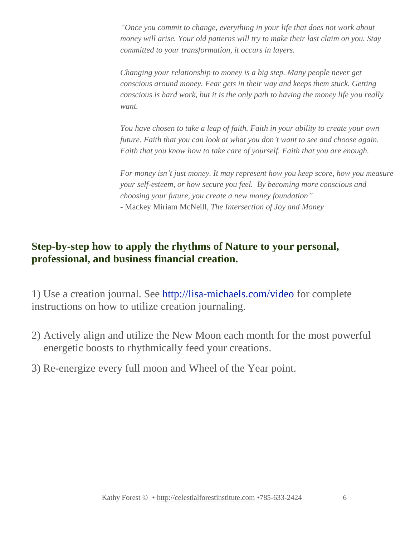*"Once you commit to change, everything in your life that does not work about money will arise. Your old patterns will try to make their last claim on you. Stay committed to your transformation, it occurs in layers.*

*Changing your relationship to money is a big step. Many people never get conscious around money. Fear gets in their way and keeps them stuck. Getting conscious is hard work, but it is the only path to having the money life you really want.*

*You have chosen to take a leap of faith. Faith in your ability to create your own future. Faith that you can look at what you don't want to see and choose again. Faith that you know how to take care of yourself. Faith that you are enough.*

*For money isn't just money. It may represent how you keep score, how you measure your self-esteem, or how secure you feel. By becoming more conscious and choosing your future, you create a new money foundation"* - Mackey Miriam McNeill, *The Intersection of Joy and Money*

#### **Step-by-step how to apply the rhythms of Nature to your personal, professional, and business financial creation.**

1) Use a creation journal. See <http://lisa-michaels.com/video> for complete instructions on how to utilize creation journaling.

- 2) Actively align and utilize the New Moon each month for the most powerful energetic boosts to rhythmically feed your creations.
- 3) Re-energize every full moon and Wheel of the Year point.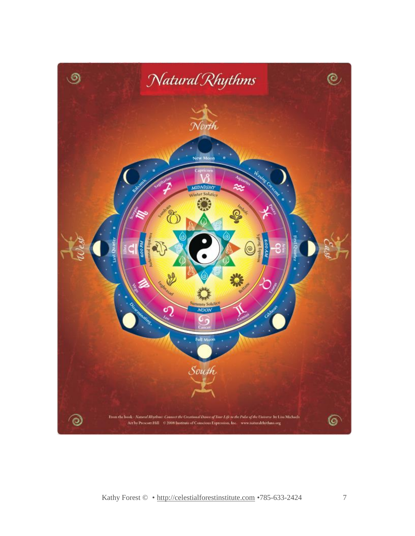